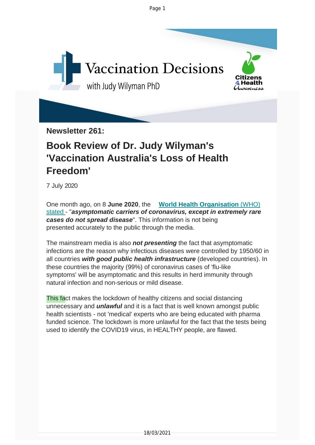Page 1



**Newsletter 261:**

### **Book Review of Dr. Judy Wilyman's 'Vaccination Australia's Loss of Health Freedom'**

7 July 2020

One month ago, on 8 **June 2020**, the **World Health [Organisation](https://vaccinationdecisions.us8.list-manage.com/track/click?u=f20605fde3732e41929f4a3f2&id=92f4fd827d&e=6b3f8c9022)** (WHO) stated - "*asymptomatic carriers of coronavirus, except in extremely rare cases do not spread disease*". This information is not being presented accurately to the public through the media.

The mainstream media is also *not presenting* the fact that asymptomatic infections are the reason why infectious diseases were controlled by 1950/60 in all countries *with good public health infrastructure* (developed countries). In these countries the majority (99%) of coronavirus cases of 'flu-like symptoms' will be asymptomatic and this results in herd immunity through natural infection and non-serious or mild disease.

This fact makes the lockdown of healthy citizens and social distancing unnecessary and *unlawful* and it is a fact that is well known amongst public health scientists - not 'medical' experts who are being educated with pharma funded science. The lockdown is more unlawful for the fact that the tests being used to identify the COVID19 virus, in HEALTHY people, are flawed.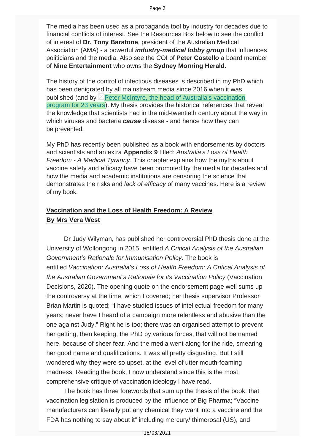The media has been used as a propaganda tool by industry for decades due to financial conflicts of interest. See the Resources Box below to see the conflict of interest of **Dr. Tony Baratone**, president of the Australian Medical Association (AMA) - a powerful *industry-medical lobby group* that influences politicians and the media. Also see the COI of **Peter Costello** a board member of **Nine Entertainment** who owns the **Sydney Morning Herald.**

The history of the control of infectious diseases is described in my PhD which has been denigrated by all mainstream media since 2016 when it was published (and by  $\triangle$  [Peter McIntyre, the head of Australia's vaccination](https://vaccinationdecisions.us8.list-manage.com/track/click?u=f20605fde3732e41929f4a3f2&id=09df4e7f9c&e=6b3f8c9022) [program for 23 years](https://vaccinationdecisions.us8.list-manage.com/track/click?u=f20605fde3732e41929f4a3f2&id=09df4e7f9c&e=6b3f8c9022)). My thesis provides the historical references that reveal the knowledge that scientists had in the mid-twentieth century about the way in which viruses and bacteria *cause* disease - and hence how they can be prevented.

My PhD has recently been published as a book with endorsements by doctors and scientists and an extra **Appendix 9** titled: *Australia's Loss of Health Freedom - A Medical Tyranny*. This chapter explains how the myths about vaccine safety and efficacy have been promoted by the media for decades and how the media and academic institutions are censoring the science that demonstrates the risks and *lack of efficacy* of many vaccines. Here is a review of my book.

#### **Vaccination and the Loss of Health Freedom: A Review By Mrs Vera West**

 Dr Judy Wilyman, has published her controversial PhD thesis done at the University of Wollongong in 2015, entitled *A Critical Analysis of the Australian Government's Rationale for Immunisation Policy*. The book is entitled *Vaccination: Australia's Loss of Health Freedom: A Critical Analysis of the Australian Government's Rationale for its Vaccination Policy* (Vaccination Decisions, 2020). The opening quote on the endorsement page well sums up the controversy at the time, which I covered; her thesis supervisor Professor Brian Martin is quoted; "I have studied issues of intellectual freedom for many years; never have I heard of a campaign more relentless and abusive than the one against Judy." Right he is too; there was an organised attempt to prevent her getting, then keeping, the PhD by various forces, that will not be named here, because of sheer fear. And the media went along for the ride, smearing her good name and qualifications. It was all pretty disgusting. But I still wondered why they were so upset, at the level of utter mouth-foaming madness. Reading the book, I now understand since this is the most comprehensive critique of vaccination ideology I have read.

 The book has three forewords that sum up the thesis of the book; that vaccination legislation is produced by the influence of Big Pharma; "Vaccine manufacturers can literally put any chemical they want into a vaccine and the FDA has nothing to say about it" including mercury/ thimerosal (US), and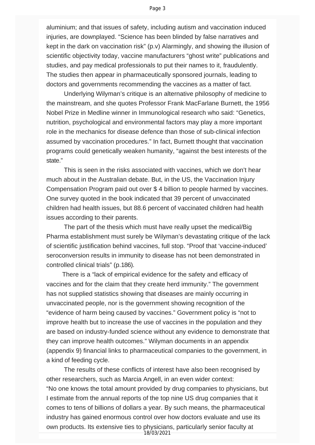aluminium; and that issues of safety, including autism and vaccination induced injuries, are downplayed. "Science has been blinded by false narratives and kept in the dark on vaccination risk" (p.v) Alarmingly, and showing the illusion of scientific objectivity today, vaccine manufacturers "ghost write" publications and studies, and pay medical professionals to put their names to it, fraudulently. The studies then appear in pharmaceutically sponsored journals, leading to doctors and governments recommending the vaccines as a matter of fact.

 Underlying Wilyman's critique is an alternative philosophy of medicine to the mainstream, and she quotes Professor Frank MacFarlane Burnett, the 1956 Nobel Prize in Medline winner in Immunological research who said: "Genetics, nutrition, psychological and environmental factors may play a more important role in the mechanics for disease defence than those of sub-clinical infection assumed by vaccination procedures." In fact, Burnett thought that vaccination programs could genetically weaken humanity, "against the best interests of the state."

 This is seen in the risks associated with vaccines, which we don't hear much about in the Australian debate. But, in the US, the Vaccination Injury Compensation Program paid out over \$ 4 billion to people harmed by vaccines. One survey quoted in the book indicated that 39 percent of unvaccinated children had health issues, but 88.6 percent of vaccinated children had health issues according to their parents.

 The part of the thesis which must have really upset the medical/Big Pharma establishment must surely be Wilyman's devastating critique of the lack of scientific justification behind vaccines, full stop. "Proof that 'vaccine-induced' seroconversion results in immunity to disease has not been demonstrated in controlled clinical trials" (p.186).

 There is a "lack of empirical evidence for the safety and efficacy of vaccines and for the claim that they create herd immunity." The government has not supplied statistics showing that diseases are mainly occurring in unvaccinated people, nor is the government showing recognition of the "evidence of harm being caused by vaccines." Government policy is "not to improve health but to increase the use of vaccines in the population and they are based on industry-funded science without any evidence to demonstrate that they can improve health outcomes." Wilyman documents in an appendix (appendix 9) financial links to pharmaceutical companies to the government, in a kind of feeding cycle.

 The results of these conflicts of interest have also been recognised by other researchers, such as Marcia Angell, in an even wider context: "No one knows the total amount provided by drug companies to physicians, but I estimate from the annual reports of the top nine US drug companies that it comes to tens of billions of dollars a year. By such means, the pharmaceutical industry has gained enormous control over how doctors evaluate and use its own products. Its extensive ties to physicians, particularly senior faculty at 18/03/2021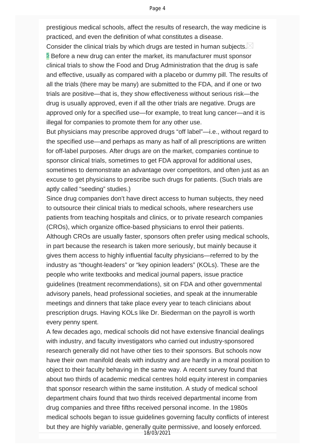prestigious medical schools, affect the results of research, the way medicine is practiced, and even the definition of what constitutes a disease.

Consider the clinical trials by which drugs are tested in human subjects.  $\boxtimes$ **E** Before a new drug can enter the market, its manufacturer must sponsor clinical trials to show the Food and Drug Administration that the drug is safe and effective, usually as compared with a placebo or dummy pill. The results of all the trials (there may be many) are submitted to the FDA, and if one or two trials are positive—that is, they show effectiveness without serious risk—the drug is usually approved, even if all the other trials are negative. Drugs are approved only for a specified use—for example, to treat lung cancer—and it is illegal for companies to promote them for any other use.

But physicians may prescribe approved drugs "off label"—i.e., without regard to the specified use—and perhaps as many as half of all prescriptions are written for off-label purposes. After drugs are on the market, companies continue to sponsor clinical trials, sometimes to get FDA approval for additional uses, sometimes to demonstrate an advantage over competitors, and often just as an excuse to get physicians to prescribe such drugs for patients. (Such trials are aptly called "seeding" studies.)

Since drug companies don't have direct access to human subjects, they need to outsource their clinical trials to medical schools, where researchers use patients from teaching hospitals and clinics, or to private research companies (CROs), which organize office-based physicians to enrol their patients. Although CROs are usually faster, sponsors often prefer using medical schools, in part because the research is taken more seriously, but mainly because it gives them access to highly influential faculty physicians—referred to by the industry as "thought-leaders" or "key opinion leaders" (KOLs). These are the people who write textbooks and medical journal papers, issue practice guidelines (treatment recommendations), sit on FDA and other governmental advisory panels, head professional societies, and speak at the innumerable meetings and dinners that take place every year to teach clinicians about prescription drugs. Having KOLs like Dr. Biederman on the payroll is worth every penny spent.

A few decades ago, medical schools did not have extensive financial dealings with industry, and faculty investigators who carried out industry-sponsored research generally did not have other ties to their sponsors. But schools now have their own manifold deals with industry and are hardly in a moral position to object to their faculty behaving in the same way. A recent survey found that about two thirds of academic medical centres hold equity interest in companies that sponsor research within the same institution. A study of medical school department chairs found that two thirds received departmental income from drug companies and three fifths received personal income. In the 1980s medical schools began to issue guidelines governing faculty conflicts of interest but they are highly variable, generally quite permissive, and loosely enforced. 18/03/2021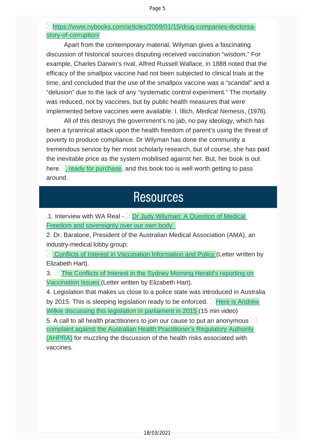#### [https://www.nybooks.com/articles/2009/01/15/drug-companies-doctorsa](https://vaccinationdecisions.us8.list-manage.com/track/click?u=f20605fde3732e41929f4a3f2&id=58c4c325b1&e=6b3f8c9022)[story-of-corruption/](https://vaccinationdecisions.us8.list-manage.com/track/click?u=f20605fde3732e41929f4a3f2&id=58c4c325b1&e=6b3f8c9022)

Apart from the contemporary material, Wilyman gives a fascinating discussion of historical sources disputing received vaccination "wisdom." For example, Charles Darwin's rival, Alfred Russell Wallace, in 1888 noted that the efficacy of the smallpox vaccine had not been subjected to clinical trials at the time, and concluded that the use of the smallpox vaccine was a "scandal" and a "delusion" due to the lack of any "systematic control experiment." The mortality was reduced, not by vaccines, but by public health measures that were implemented before vaccines were available: I. Illich, *Medical Nemesis*, (1976).

All of this destroys the government's no jab, no pay ideology, which has been a tyrannical attack upon the health freedom of parent's using the threat of poverty to produce compliance. Dr Wilyman has done the community a tremendous service by her most scholarly research, but of course, she has paid the inevitable price as the system mobilised against her. But, her book is out here $\geq$ , ready for [purchase](https://vaccinationdecisions.us8.list-manage.com/track/click?u=f20605fde3732e41929f4a3f2&id=d73c364606&e=6b3f8c9022), and this book too is well worth getting to pass around.

### **Resources**

.1. Interview with WA Real -  $\triangle$ Dr Judy [Wilyman:](https://vaccinationdecisions.us8.list-manage.com/track/click?u=f20605fde3732e41929f4a3f2&id=a4bb52b27b&e=6b3f8c9022) A Question of Medical Freedom and [sovereignty](https://vaccinationdecisions.us8.list-manage.com/track/click?u=f20605fde3732e41929f4a3f2&id=a4bb52b27b&e=6b3f8c9022) over our own body

2. Dr. Baratone, President of the Australian Medical Association (AMA), an industry-medical lobby group;

 $\boxtimes$  Conflicts of Interest in [Vaccination](https://vaccinationdecisions.us8.list-manage.com/track/click?u=f20605fde3732e41929f4a3f2&id=a4c379ac66&e=6b3f8c9022) Information and Policy (Letter written by Elizabeth Hart).

3. The Conflicts of Interest in the Sydney Morning Herald's [reporting](https://vaccinationdecisions.us8.list-manage.com/track/click?u=f20605fde3732e41929f4a3f2&id=6e41b27120&e=6b3f8c9022) on [Vaccination](https://vaccinationdecisions.us8.list-manage.com/track/click?u=f20605fde3732e41929f4a3f2&id=6e41b27120&e=6b3f8c9022) Issues (Letter written by Elizabeth Hart).

4. Legislation that makes us close to a police state was introduced in Australia by 2015. This is sleeping legislation ready to be enforced.  $\boxtimes$  Here is [Andrew](https://vaccinationdecisions.us8.list-manage.com/track/click?u=f20605fde3732e41929f4a3f2&id=ddfc06edfb&e=6b3f8c9022) Wilkie [discussing](https://vaccinationdecisions.us8.list-manage.com/track/click?u=f20605fde3732e41929f4a3f2&id=ddfc06edfb&e=6b3f8c9022) this legislation in parliament in 2015 (15 min video)

5. A call to all health practitioners to join our cause to put an anonymous  $\boxtimes$ complaint against the Australian Health [Practitioner's](https://vaccinationdecisions.us8.list-manage.com/track/click?u=f20605fde3732e41929f4a3f2&id=e1d3ef9675&e=6b3f8c9022) Regulatory Authority [\(AHPRA\)](https://vaccinationdecisions.us8.list-manage.com/track/click?u=f20605fde3732e41929f4a3f2&id=e1d3ef9675&e=6b3f8c9022) for muzzling the discussion of the health risks associated with vaccines.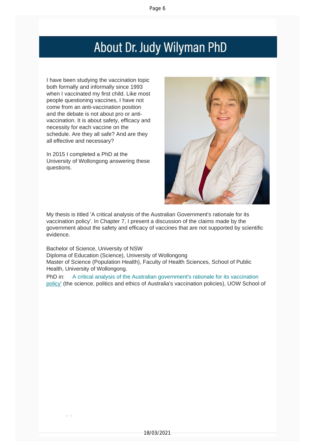## About Dr. Judy Wilyman PhD

I have been studying the vaccination topic both formally and informally since 1993 when I vaccinated my first child. Like most people questioning vaccines, I have not come from an anti-vaccination position and the debate is not about pro or antivaccination. It is about safety, efficacy and necessity for each vaccine on the schedule. Are they all safe? And are they all effective and necessary?

In 2015 I completed a PhD at the University of Wollongong answering these questions.

 $\overline{\mathbb{R}^n}$ 



My thesis is titled 'A critical analysis of the Australian Government's rationale for its vaccination policy'. In Chapter 7, I present a discussion of the claims made by the government about the safety and efficacy of vaccines that are not supported by scientific evidence.

Bachelor of Science, University of NSW Diploma of Education (Science), University of Wollongong Master of Science (Population Health), Faculty of Health Sciences, School of Public Health, University of Wollongong.

PhD in: A critical analysis of the Australian government's rationale for its vaccination policy' (the science, politics and ethics of Australia's vaccination policies), UOW School of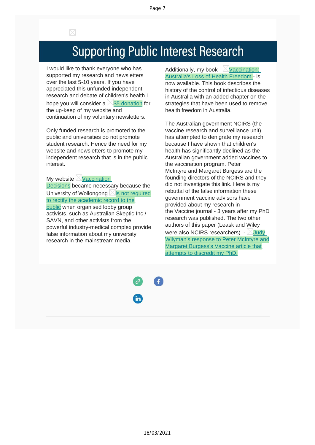$\boxtimes$ 

# **Supporting Public Interest Research**

I would like to thank everyone who has supported my research and newsletters over the last 5-10 years. If you have appreciated this unfunded independent research and debate of children's health I hope you will consider a  $\boxtimes$  \$5 [donation](https://vaccinationdecisions.us8.list-manage.com/track/click?u=f20605fde3732e41929f4a3f2&id=bee4810efa&e=6b3f8c9022) for the up-keep of my website and continuation of my voluntary newsletters.

Only funded research is promoted to the public and universities do not promote student research. Hence the need for my website and newsletters to promote my independent research that is in the public interest.

My website  $\boxtimes$  [Vaccination](https://vaccinationdecisions.us8.list-manage.com/track/click?u=f20605fde3732e41929f4a3f2&id=8537dae06c&e=6b3f8c9022) [Decisions](https://vaccinationdecisions.us8.list-manage.com/track/click?u=f20605fde3732e41929f4a3f2&id=8537dae06c&e=6b3f8c9022) became necessary because the University of Wollongong  $\boxtimes$  is not [required](https://vaccinationdecisions.us8.list-manage.com/track/click?u=f20605fde3732e41929f4a3f2&id=612a713ddb&e=6b3f8c9022) to rectify the [academic](https://vaccinationdecisions.us8.list-manage.com/track/click?u=f20605fde3732e41929f4a3f2&id=612a713ddb&e=6b3f8c9022) record to the [public](https://vaccinationdecisions.us8.list-manage.com/track/click?u=f20605fde3732e41929f4a3f2&id=612a713ddb&e=6b3f8c9022) when organised lobby group activists, such as Australian Skeptic Inc / SAVN, and other activists from the powerful industry-medical complex provide false information about my university research in the mainstream media.

Additionally, my book -  $\boxtimes$  [Vaccination:](https://vaccinationdecisions.us8.list-manage.com/track/click?u=f20605fde3732e41929f4a3f2&id=9fbf37611a&e=6b3f8c9022) [Australia's](https://vaccinationdecisions.us8.list-manage.com/track/click?u=f20605fde3732e41929f4a3f2&id=9fbf37611a&e=6b3f8c9022) Loss of Health Freedom - is now available. This book describes the history of the control of infectious diseases in Australia with an added chapter on the strategies that have been used to remove health freedom in Australia.

The Australian government NCIRS (the vaccine research and surveillance unit) has attempted to denigrate my research because I have shown that children's health has significantly declined as the Australian government added vaccines to the vaccination program. Peter McIntyre and Margaret Burgess are the founding directors of the NCIRS and they did not investigate this link. Here is my rebuttal of the false information these government vaccine advisors have provided about my research in the Vaccine journal - 3 years after my PhD research was published. The two other authors of this paper (Leask and Wiley were also NCIRS researchers) -  $\boxtimes$  [Judy](https://vaccinationdecisions.us8.list-manage.com/track/click?u=f20605fde3732e41929f4a3f2&id=bc0e6c0aae&e=6b3f8c9022) [Wilyman's](https://vaccinationdecisions.us8.list-manage.com/track/click?u=f20605fde3732e41929f4a3f2&id=bc0e6c0aae&e=6b3f8c9022) response to Peter McIntyre and Margaret [Burgess's](https://vaccinationdecisions.us8.list-manage.com/track/click?u=f20605fde3732e41929f4a3f2&id=bc0e6c0aae&e=6b3f8c9022) Vaccine article that [attempts](https://vaccinationdecisions.us8.list-manage.com/track/click?u=f20605fde3732e41929f4a3f2&id=bc0e6c0aae&e=6b3f8c9022) to discredit my PhD.